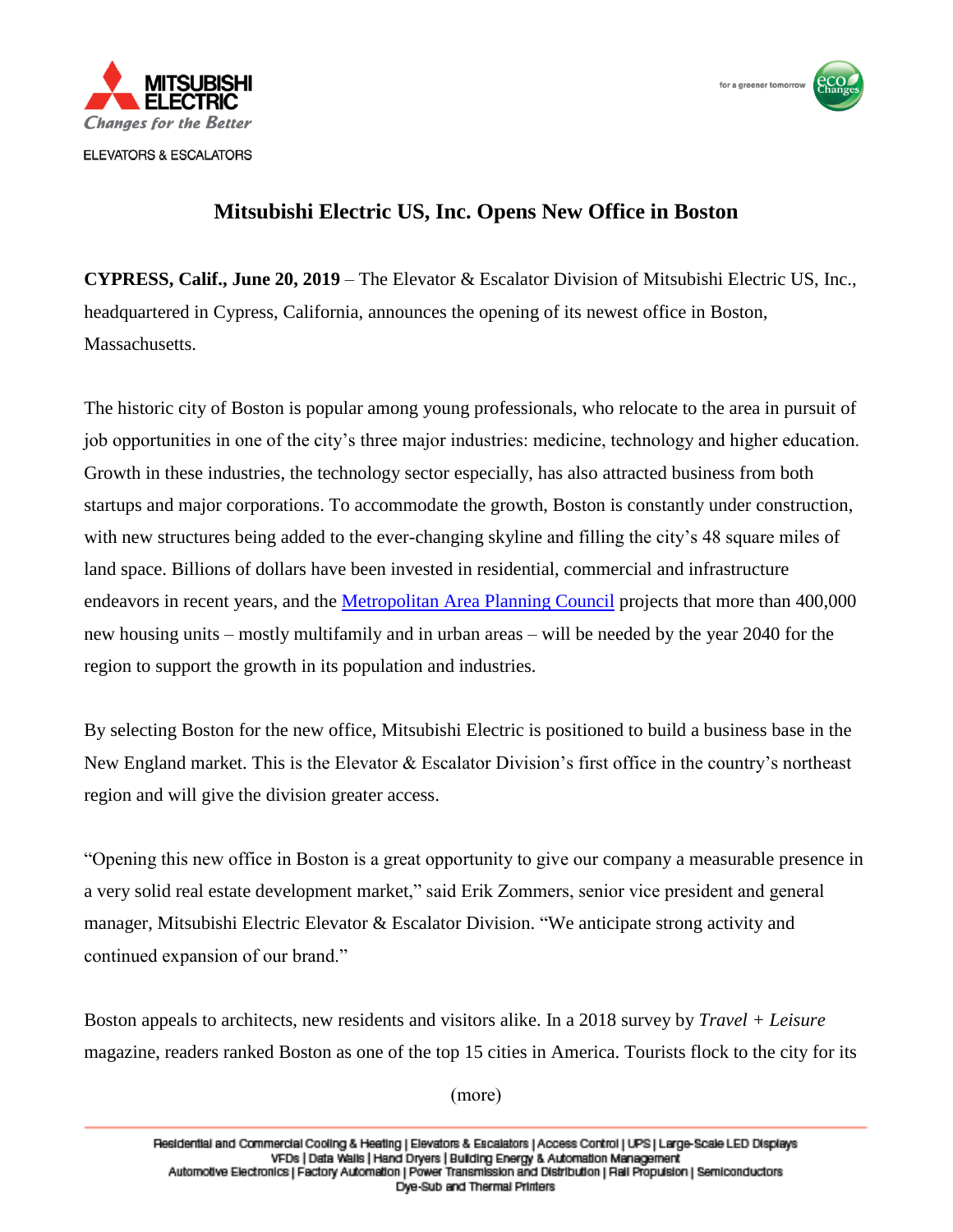



## **Mitsubishi Electric US, Inc. Opens New Office in Boston**

**CYPRESS, Calif., June 20, 2019** – The Elevator & Escalator Division of Mitsubishi Electric US, Inc., headquartered in Cypress, California, announces the opening of its newest office in Boston, Massachusetts.

The historic city of Boston is popular among young professionals, who relocate to the area in pursuit of job opportunities in one of the city's three major industries: medicine, technology and higher education. Growth in these industries, the technology sector especially, has also attracted business from both startups and major corporations. To accommodate the growth, Boston is constantly under construction, with new structures being added to the ever-changing skyline and filling the city's 48 square miles of land space. Billions of dollars have been invested in residential, commercial and infrastructure endeavors in recent years, and the [Metropolitan Area Planning Council](https://www.mapc.org/) projects that more than 400,000 new housing units – mostly multifamily and in urban areas – will be needed by the year 2040 for the region to support the growth in its population and industries.

By selecting Boston for the new office, Mitsubishi Electric is positioned to build a business base in the New England market. This is the Elevator & Escalator Division's first office in the country's northeast region and will give the division greater access.

"Opening this new office in Boston is a great opportunity to give our company a measurable presence in a very solid real estate development market," said Erik Zommers, senior vice president and general manager, Mitsubishi Electric Elevator & Escalator Division. "We anticipate strong activity and continued expansion of our brand."

Boston appeals to architects, new residents and visitors alike. In a 2018 survey by *Travel + Leisure* magazine, readers ranked Boston as one of the top 15 cities in America. Tourists flock to the city for its

(more)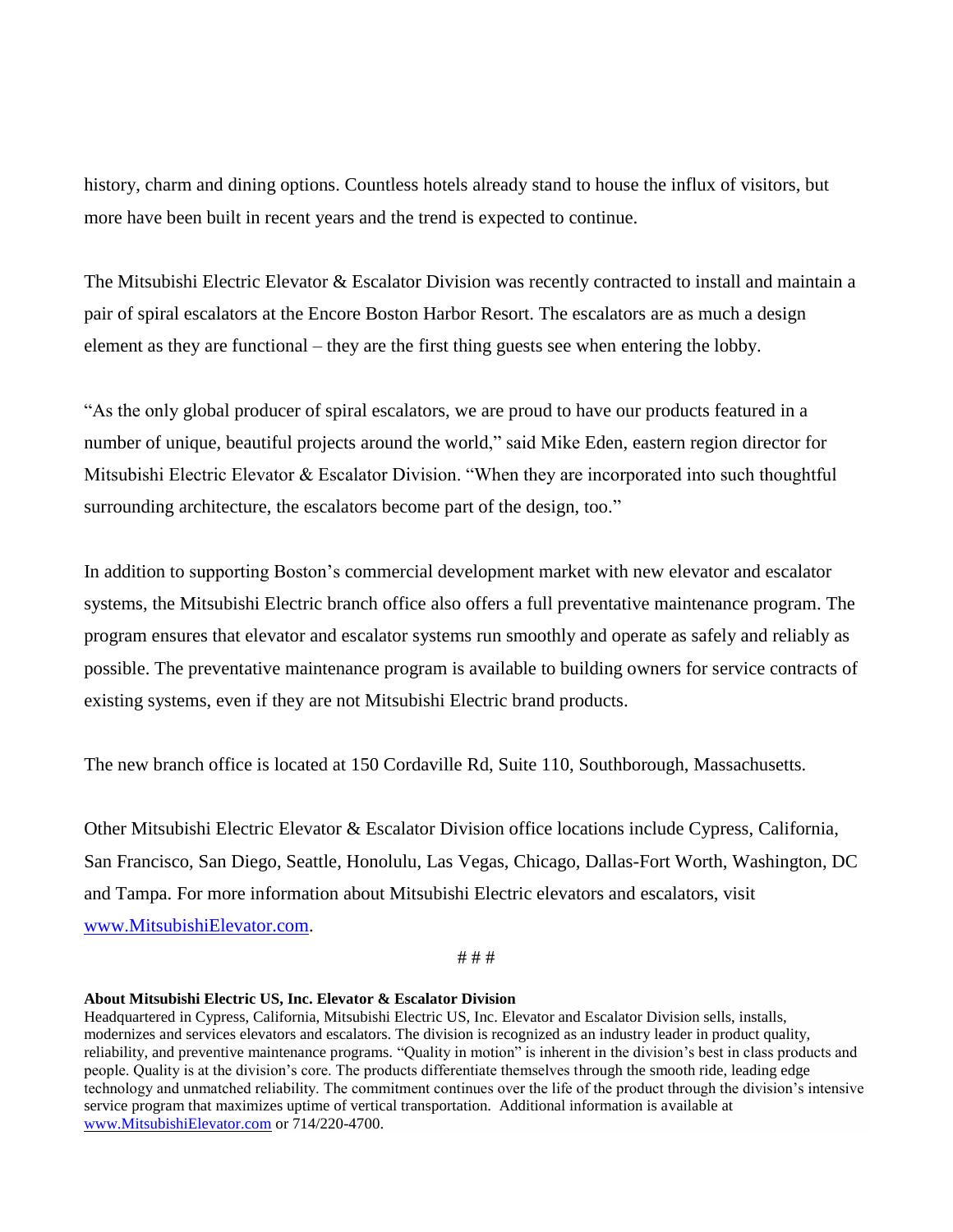history, charm and dining options. Countless hotels already stand to house the influx of visitors, but more have been built in recent years and the trend is expected to continue.

The Mitsubishi Electric Elevator & Escalator Division was recently contracted to install and maintain a pair of spiral escalators at the Encore Boston Harbor Resort. The escalators are as much a design element as they are functional – they are the first thing guests see when entering the lobby.

"As the only global producer of spiral escalators, we are proud to have our products featured in a number of unique, beautiful projects around the world," said Mike Eden, eastern region director for Mitsubishi Electric Elevator & Escalator Division. "When they are incorporated into such thoughtful surrounding architecture, the escalators become part of the design, too."

In addition to supporting Boston's commercial development market with new elevator and escalator systems, the Mitsubishi Electric branch office also offers a full preventative maintenance program. The program ensures that elevator and escalator systems run smoothly and operate as safely and reliably as possible. The preventative maintenance program is available to building owners for service contracts of existing systems, even if they are not Mitsubishi Electric brand products.

The new branch office is located at 150 Cordaville Rd, Suite 110, Southborough, Massachusetts.

Other Mitsubishi Electric Elevator & Escalator Division office locations include Cypress, California, San Francisco, San Diego, Seattle, Honolulu, Las Vegas, Chicago, Dallas-Fort Worth, Washington, DC and Tampa. For more information about Mitsubishi Electric elevators and escalators, visit [www.MitsubishiElevator.com.](http://www.mitsubishielevator.com/)

# # #

## **About Mitsubishi Electric US, Inc. Elevator & Escalator Division**

Headquartered in Cypress, California, Mitsubishi Electric US, Inc. Elevator and Escalator Division sells, installs, modernizes and services elevators and escalators. The division is recognized as an industry leader in product quality, reliability, and preventive maintenance programs. "Quality in motion" is inherent in the division's best in class products and people. Quality is at the division's core. The products differentiate themselves through the smooth ride, leading edge technology and unmatched reliability. The commitment continues over the life of the product through the division's intensive service program that maximizes uptime of vertical transportation. Additional information is available at [www.MitsubishiElevator.com](https://www.mitsubishielevator.com/) or 714/220-4700.